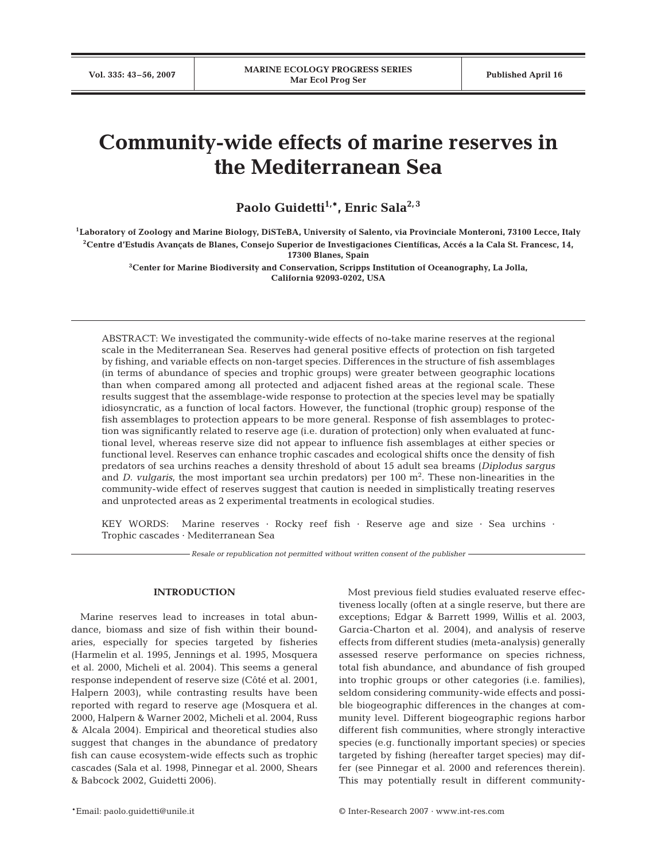# **Community-wide effects of marine reserves in the Mediterranean Sea**

Paolo Guidetti<sup>1,\*</sup>, Enric Sala<sup>2,3</sup>

**1Laboratory of Zoology and Marine Biology, DiSTeBA, University of Salento, via Provinciale Monteroni, 73100 Lecce, Italy 2Centre d'Estudis Avançats de Blanes, Consejo Superior de Investigaciones Científicas, Accés a la Cala St. Francesc, 14, 17300 Blanes, Spain**

> **3Center for Marine Biodiversity and Conservation, Scripps Institution of Oceanography, La Jolla, California 92093-0202, USA**

ABSTRACT: We investigated the community-wide effects of no-take marine reserves at the regional scale in the Mediterranean Sea. Reserves had general positive effects of protection on fish targeted by fishing, and variable effects on non-target species. Differences in the structure of fish assemblages (in terms of abundance of species and trophic groups) were greater between geographic locations than when compared among all protected and adjacent fished areas at the regional scale. These results suggest that the assemblage-wide response to protection at the species level may be spatially idiosyncratic, as a function of local factors. However, the functional (trophic group) response of the fish assemblages to protection appears to be more general. Response of fish assemblages to protection was significantly related to reserve age (i.e. duration of protection) only when evaluated at functional level, whereas reserve size did not appear to influence fish assemblages at either species or functional level. Reserves can enhance trophic cascades and ecological shifts once the density of fish predators of sea urchins reaches a density threshold of about 15 adult sea breams (*Diplodus sargus* and *D. vulgaris*, the most important sea urchin predators) per 100 m2 . These non-linearities in the community-wide effect of reserves suggest that caution is needed in simplistically treating reserves and unprotected areas as 2 experimental treatments in ecological studies.

KEY WORDS: Marine reserves · Rocky reef fish · Reserve age and size · Sea urchins · Trophic cascades · Mediterranean Sea

*Resale or republication not permitted without written consent of the publisher*

# **INTRODUCTION**

Marine reserves lead to increases in total abundance, biomass and size of fish within their boundaries, especially for species targeted by fisheries (Harmelin et al. 1995, Jennings et al. 1995, Mosquera et al. 2000, Micheli et al. 2004). This seems a general response independent of reserve size (Côté et al. 2001, Halpern 2003), while contrasting results have been reported with regard to reserve age (Mosquera et al. 2000, Halpern & Warner 2002, Micheli et al. 2004, Russ & Alcala 2004). Empirical and theoretical studies also suggest that changes in the abundance of predatory fish can cause ecosystem-wide effects such as trophic cascades (Sala et al. 1998, Pinnegar et al. 2000, Shears & Babcock 2002, Guidetti 2006).

Most previous field studies evaluated reserve effectiveness locally (often at a single reserve, but there are exceptions; Edgar & Barrett 1999, Willis et al. 2003, Garcia-Charton et al. 2004), and analysis of reserve effects from different studies (meta-analysis) generally assessed reserve performance on species richness, total fish abundance, and abundance of fish grouped into trophic groups or other categories (i.e. families), seldom considering community-wide effects and possible biogeographic differences in the changes at community level. Different biogeographic regions harbor different fish communities, where strongly interactive species (e.g. functionally important species) or species targeted by fishing (hereafter target species) may differ (see Pinnegar et al. 2000 and references therein). This may potentially result in different community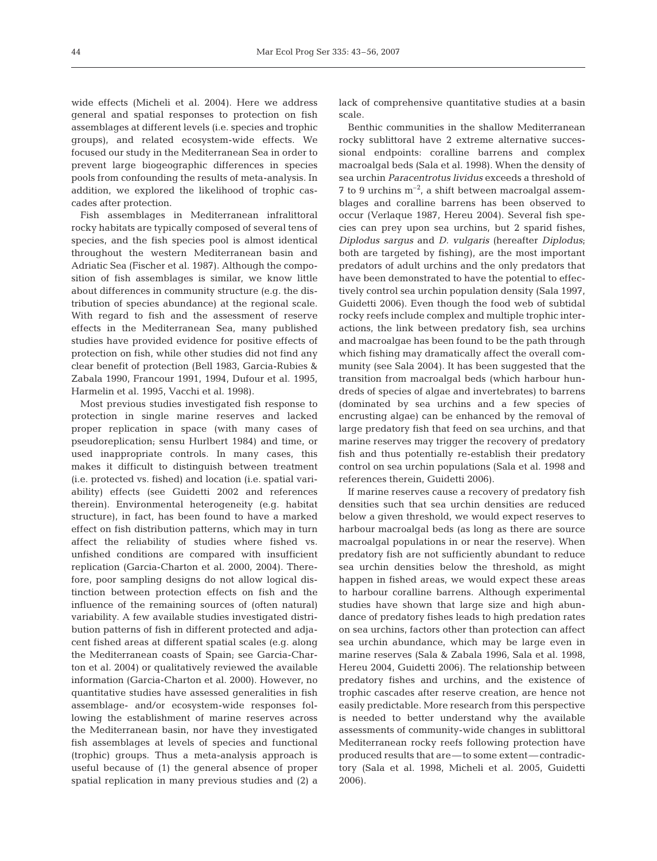wide effects (Micheli et al. 2004). Here we address general and spatial responses to protection on fish assemblages at different levels (i.e. species and trophic groups), and related ecosystem-wide effects. We focused our study in the Mediterranean Sea in order to prevent large biogeographic differences in species pools from confounding the results of meta-analysis. In addition, we explored the likelihood of trophic cascades after protection.

Fish assemblages in Mediterranean infralittoral rocky habitats are typically composed of several tens of species, and the fish species pool is almost identical throughout the western Mediterranean basin and Adriatic Sea (Fischer et al. 1987). Although the composition of fish assemblages is similar, we know little about differences in community structure (e.g. the distribution of species abundance) at the regional scale. With regard to fish and the assessment of reserve effects in the Mediterranean Sea, many published studies have provided evidence for positive effects of protection on fish, while other studies did not find any clear benefit of protection (Bell 1983, Garcia-Rubies & Zabala 1990, Francour 1991, 1994, Dufour et al. 1995, Harmelin et al. 1995, Vacchi et al. 1998).

Most previous studies investigated fish response to protection in single marine reserves and lacked proper replication in space (with many cases of pseudoreplication; sensu Hurlbert 1984) and time, or used inappropriate controls. In many cases, this makes it difficult to distinguish between treatment (i.e. protected vs. fished) and location (i.e. spatial variability) effects (see Guidetti 2002 and references therein). Environmental heterogeneity (e.g. habitat structure), in fact, has been found to have a marked effect on fish distribution patterns, which may in turn affect the reliability of studies where fished vs. unfished conditions are compared with insufficient replication (Garcia-Charton et al. 2000, 2004). Therefore, poor sampling designs do not allow logical distinction between protection effects on fish and the influence of the remaining sources of (often natural) variability. A few available studies investigated distribution patterns of fish in different protected and adjacent fished areas at different spatial scales (e.g. along the Mediterranean coasts of Spain; see Garcia-Charton et al. 2004) or qualitatively reviewed the available information (Garcia-Charton et al. 2000). However, no quantitative studies have assessed generalities in fish assemblage- and/or ecosystem-wide responses following the establishment of marine reserves across the Mediterranean basin, nor have they investigated fish assemblages at levels of species and functional (trophic) groups. Thus a meta-analysis approach is useful because of (1) the general absence of proper spatial replication in many previous studies and (2) a lack of comprehensive quantitative studies at a basin scale.

Benthic communities in the shallow Mediterranean rocky sublittoral have 2 extreme alternative successional endpoints: coralline barrens and complex macroalgal beds (Sala et al. 1998). When the density of sea urchin *Paracentrotus lividus* exceeds a threshold of  $7$  to 9 urchins  $m^{-2}$ , a shift between macroalgal assemblages and coralline barrens has been observed to occur (Verlaque 1987, Hereu 2004). Several fish species can prey upon sea urchins, but 2 sparid fishes, *Diplodus sargus* and *D. vulgaris* (hereafter *Diplodus*; both are targeted by fishing), are the most important predators of adult urchins and the only predators that have been demonstrated to have the potential to effectively control sea urchin population density (Sala 1997, Guidetti 2006). Even though the food web of subtidal rocky reefs include complex and multiple trophic interactions, the link between predatory fish, sea urchins and macroalgae has been found to be the path through which fishing may dramatically affect the overall community (see Sala 2004). It has been suggested that the transition from macroalgal beds (which harbour hundreds of species of algae and invertebrates) to barrens (dominated by sea urchins and a few species of encrusting algae) can be enhanced by the removal of large predatory fish that feed on sea urchins, and that marine reserves may trigger the recovery of predatory fish and thus potentially re-establish their predatory control on sea urchin populations (Sala et al. 1998 and references therein, Guidetti 2006).

If marine reserves cause a recovery of predatory fish densities such that sea urchin densities are reduced below a given threshold, we would expect reserves to harbour macroalgal beds (as long as there are source macroalgal populations in or near the reserve). When predatory fish are not sufficiently abundant to reduce sea urchin densities below the threshold, as might happen in fished areas, we would expect these areas to harbour coralline barrens. Although experimental studies have shown that large size and high abundance of predatory fishes leads to high predation rates on sea urchins, factors other than protection can affect sea urchin abundance, which may be large even in marine reserves (Sala & Zabala 1996, Sala et al. 1998, Hereu 2004, Guidetti 2006). The relationship between predatory fishes and urchins, and the existence of trophic cascades after reserve creation, are hence not easily predictable. More research from this perspective is needed to better understand why the available assessments of community-wide changes in sublittoral Mediterranean rocky reefs following protection have produced results that are—to some extent—contradictory (Sala et al. 1998, Micheli et al. 2005, Guidetti 2006).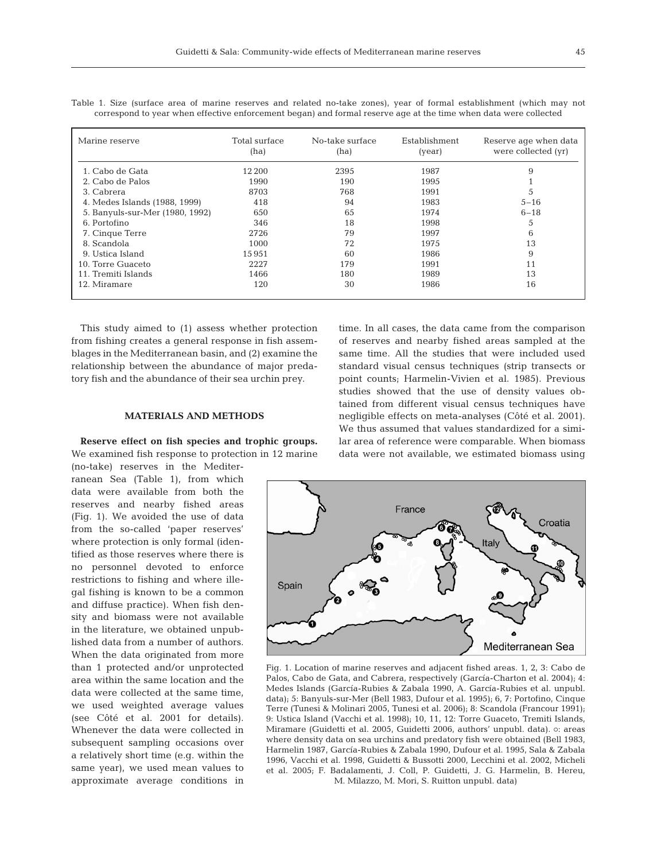| Marine reserve                  | Total surface<br>(ha) | No-take surface<br>(ha) | Establishment<br>(year) | Reserve age when data<br>were collected (yr) |
|---------------------------------|-----------------------|-------------------------|-------------------------|----------------------------------------------|
| 1. Cabo de Gata                 | 12 200                | 2395                    | 1987                    | 9                                            |
| 2. Cabo de Palos                | 1990                  | 190                     | 1995                    |                                              |
| 3. Cabrera                      | 8703                  | 768                     | 1991                    | 5                                            |
| 4. Medes Islands (1988, 1999)   | 418                   | 94                      | 1983                    | $5 - 16$                                     |
| 5. Banyuls-sur-Mer (1980, 1992) | 650                   | 65                      | 1974                    | $6 - 18$                                     |
| 6. Portofino                    | 346                   | 18                      | 1998                    | 5                                            |
| 7. Cinque Terre                 | 2726                  | 79                      | 1997                    | 6                                            |
| 8. Scandola                     | 1000                  | 72                      | 1975                    | 13                                           |
| 9. Ustica Island                | 15951                 | 60                      | 1986                    | 9                                            |
| 10. Torre Guaceto               | 2227                  | 179                     | 1991                    | 11                                           |
| 11. Tremiti Islands             | 1466                  | 180                     | 1989                    | 13                                           |
| 12. Miramare                    | 120                   | 30                      | 1986                    | 16                                           |

Table 1. Size (surface area of marine reserves and related no-take zones), year of formal establishment (which may not correspond to year when effective enforcement began) and formal reserve age at the time when data were collected

This study aimed to (1) assess whether protection from fishing creates a general response in fish assemblages in the Mediterranean basin, and (2) examine the relationship between the abundance of major predatory fish and the abundance of their sea urchin prey.

#### **MATERIALS AND METHODS**

**Reserve effect on fish species and trophic groups.** We examined fish response to protection in 12 marine

(no-take) reserves in the Mediterranean Sea (Table 1), from which data were available from both the reserves and nearby fished areas (Fig. 1). We avoided the use of data from the so-called 'paper reserves' where protection is only formal (identified as those reserves where there is no personnel devoted to enforce restrictions to fishing and where illegal fishing is known to be a common and diffuse practice). When fish density and biomass were not available in the literature, we obtained unpublished data from a number of authors. When the data originated from more than 1 protected and/or unprotected area within the same location and the data were collected at the same time, we used weighted average values (see Côté et al. 2001 for details). Whenever the data were collected in subsequent sampling occasions over a relatively short time (e.g. within the same year), we used mean values to approximate average conditions in time. In all cases, the data came from the comparison of reserves and nearby fished areas sampled at the same time. All the studies that were included used standard visual census techniques (strip transects or point counts; Harmelin-Vivien et al. 1985). Previous studies showed that the use of density values obtained from different visual census techniques have negligible effects on meta-analyses (Côté et al. 2001). We thus assumed that values standardized for a similar area of reference were comparable. When biomass data were not available, we estimated biomass using



Fig. 1. Location of marine reserves and adjacent fished areas. 1, 2, 3: Cabo de Palos, Cabo de Gata, and Cabrera, respectively (García-Charton et al. 2004); 4: Medes Islands (García-Rubies & Zabala 1990, A. García-Rubies et al. unpubl. data); 5: Banyuls-sur-Mer (Bell 1983, Dufour et al. 1995); 6, 7: Portofino, Cinque Terre (Tunesi & Molinari 2005, Tunesi et al. 2006); 8: Scandola (Francour 1991); 9: Ustica Island (Vacchi et al. 1998); 10, 11, 12: Torre Guaceto, Tremiti Islands, Miramare (Guidetti et al. 2005, Guidetti 2006, authors' unpubl. data). o: areas where density data on sea urchins and predatory fish were obtained (Bell 1983, Harmelin 1987, García-Rubies & Zabala 1990, Dufour et al. 1995, Sala & Zabala 1996, Vacchi et al. 1998, Guidetti & Bussotti 2000, Lecchini et al. 2002, Micheli et al. 2005; F. Badalamenti, J. Coll, P. Guidetti, J. G. Harmelin, B. Hereu, M. Milazzo, M. Mori, S. Ruitton unpubl. data)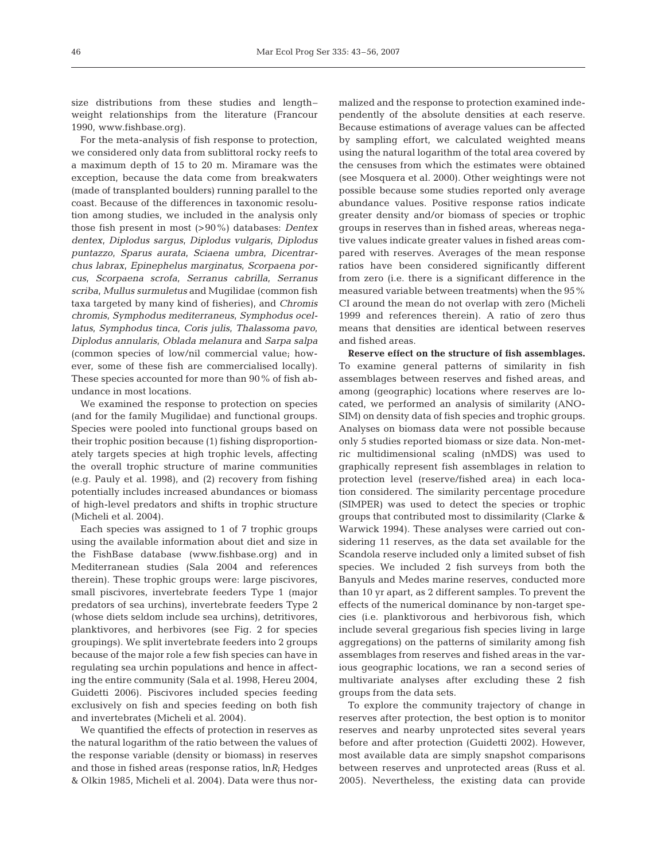size distributions from these studies and length– weight relationships from the literature (Francour 1990, www.fishbase.org).

For the meta-analysis of fish response to protection, we considered only data from sublittoral rocky reefs to a maximum depth of 15 to 20 m. Miramare was the exception, because the data come from breakwaters (made of transplanted boulders) running parallel to the coast. Because of the differences in taxonomic resolution among studies, we included in the analysis only those fish present in most (>90%) databases: *Dentex dentex*, *Diplodus sargus*, *Diplodus vulgaris*, *Diplodus puntazzo*, *Sparus aurata*, *Sciaena umbra*, *Dicentrarchus labrax*, *Epinephelus marginatus*, *Scorpaena porcus*, *Scorpaena scrofa*, *Serranus cabrilla*, *Serranus scriba*, *Mullus surmuletus* and Mugilidae (common fish taxa targeted by many kind of fisheries), and *Chromis chromis*, *Symphodus mediterraneus*, *Symphodus ocellatus*, *Symphodus tinca*, *Coris julis*, *Thalassoma pavo*, *Diplodus annularis*, *Oblada melanura* and *Sarpa salpa* (common species of low/nil commercial value; however, some of these fish are commercialised locally). These species accounted for more than 90% of fish abundance in most locations.

We examined the response to protection on species (and for the family Mugilidae) and functional groups. Species were pooled into functional groups based on their trophic position because (1) fishing disproportionately targets species at high trophic levels, affecting the overall trophic structure of marine communities (e.g. Pauly et al. 1998), and (2) recovery from fishing potentially includes increased abundances or biomass of high-level predators and shifts in trophic structure (Micheli et al. 2004).

Each species was assigned to 1 of 7 trophic groups using the available information about diet and size in the FishBase database (www.fishbase.org) and in Mediterranean studies (Sala 2004 and references therein). These trophic groups were: large piscivores, small piscivores, invertebrate feeders Type 1 (major predators of sea urchins), invertebrate feeders Type 2 (whose diets seldom include sea urchins), detritivores, planktivores, and herbivores (see Fig. 2 for species groupings). We split invertebrate feeders into 2 groups because of the major role a few fish species can have in regulating sea urchin populations and hence in affecting the entire community (Sala et al. 1998, Hereu 2004, Guidetti 2006). Piscivores included species feeding exclusively on fish and species feeding on both fish and invertebrates (Micheli et al. 2004).

We quantified the effects of protection in reserves as the natural logarithm of the ratio between the values of the response variable (density or biomass) in reserves and those in fished areas (response ratios, ln*R*; Hedges & Olkin 1985, Micheli et al. 2004). Data were thus nor-

malized and the response to protection examined independently of the absolute densities at each reserve. Because estimations of average values can be affected by sampling effort, we calculated weighted means using the natural logarithm of the total area covered by the censuses from which the estimates were obtained (see Mosquera et al. 2000). Other weightings were not possible because some studies reported only average abundance values. Positive response ratios indicate greater density and/or biomass of species or trophic groups in reserves than in fished areas, whereas negative values indicate greater values in fished areas compared with reserves. Averages of the mean response ratios have been considered significantly different from zero (i.e. there is a significant difference in the measured variable between treatments) when the 95% CI around the mean do not overlap with zero (Micheli 1999 and references therein). A ratio of zero thus means that densities are identical between reserves and fished areas.

**Reserve effect on the structure of fish assemblages.** To examine general patterns of similarity in fish assemblages between reserves and fished areas, and among (geographic) locations where reserves are located, we performed an analysis of similarity (ANO-SIM) on density data of fish species and trophic groups. Analyses on biomass data were not possible because only 5 studies reported biomass or size data. Non-metric multidimensional scaling (nMDS) was used to graphically represent fish assemblages in relation to protection level (reserve/fished area) in each location considered. The similarity percentage procedure (SIMPER) was used to detect the species or trophic groups that contributed most to dissimilarity (Clarke & Warwick 1994). These analyses were carried out considering 11 reserves, as the data set available for the Scandola reserve included only a limited subset of fish species. We included 2 fish surveys from both the Banyuls and Medes marine reserves, conducted more than 10 yr apart, as 2 different samples. To prevent the effects of the numerical dominance by non-target species (i.e. planktivorous and herbivorous fish, which include several gregarious fish species living in large aggregations) on the patterns of similarity among fish assemblages from reserves and fished areas in the various geographic locations, we ran a second series of multivariate analyses after excluding these 2 fish groups from the data sets.

To explore the community trajectory of change in reserves after protection, the best option is to monitor reserves and nearby unprotected sites several years before and after protection (Guidetti 2002). However, most available data are simply snapshot comparisons between reserves and unprotected areas (Russ et al. 2005). Nevertheless, the existing data can provide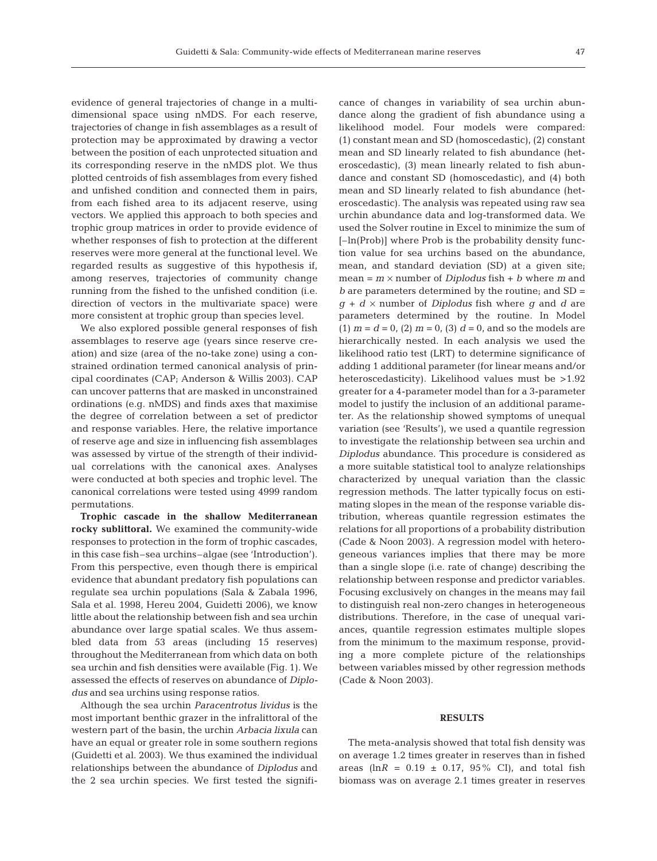evidence of general trajectories of change in a multidimensional space using nMDS. For each reserve, trajectories of change in fish assemblages as a result of protection may be approximated by drawing a vector between the position of each unprotected situation and its corresponding reserve in the nMDS plot. We thus plotted centroids of fish assemblages from every fished and unfished condition and connected them in pairs, from each fished area to its adjacent reserve, using vectors. We applied this approach to both species and trophic group matrices in order to provide evidence of whether responses of fish to protection at the different reserves were more general at the functional level. We regarded results as suggestive of this hypothesis if, among reserves, trajectories of community change running from the fished to the unfished condition (i.e. direction of vectors in the multivariate space) were more consistent at trophic group than species level.

We also explored possible general responses of fish assemblages to reserve age (years since reserve creation) and size (area of the no-take zone) using a constrained ordination termed canonical analysis of principal coordinates (CAP; Anderson & Willis 2003). CAP can uncover patterns that are masked in unconstrained ordinations (e.g. nMDS) and finds axes that maximise the degree of correlation between a set of predictor and response variables. Here, the relative importance of reserve age and size in influencing fish assemblages was assessed by virtue of the strength of their individual correlations with the canonical axes. Analyses were conducted at both species and trophic level. The canonical correlations were tested using 4999 random permutations.

**Trophic cascade in the shallow Mediterranean rocky sublittoral.** We examined the community-wide responses to protection in the form of trophic cascades, in this case fish–sea urchins–algae (see 'Introduction'). From this perspective, even though there is empirical evidence that abundant predatory fish populations can regulate sea urchin populations (Sala & Zabala 1996, Sala et al. 1998, Hereu 2004, Guidetti 2006), we know little about the relationship between fish and sea urchin abundance over large spatial scales. We thus assembled data from 53 areas (including 15 reserves) throughout the Mediterranean from which data on both sea urchin and fish densities were available (Fig. 1). We assessed the effects of reserves on abundance of *Diplodus* and sea urchins using response ratios.

Although the sea urchin *Paracentrotus lividus* is the most important benthic grazer in the infralittoral of the western part of the basin, the urchin *Arbacia lixula* can have an equal or greater role in some southern regions (Guidetti et al. 2003). We thus examined the individual relationships between the abundance of *Diplodus* and the 2 sea urchin species. We first tested the significance of changes in variability of sea urchin abundance along the gradient of fish abundance using a likelihood model. Four models were compared: (1) constant mean and SD (homoscedastic), (2) constant mean and SD linearly related to fish abundance (heteroscedastic), (3) mean linearly related to fish abundance and constant SD (homoscedastic), and (4) both mean and SD linearly related to fish abundance (heteroscedastic). The analysis was repeated using raw sea urchin abundance data and log-transformed data. We used the Solver routine in Excel to minimize the sum of [–ln(Prob)] where Prob is the probability density function value for sea urchins based on the abundance, mean, and standard deviation (SD) at a given site;  $mean = m \times number of *Diplodus* fish + b where *m* and$ *b* are parameters determined by the routine; and SD =  $g + d \times$  number of *Diplodus* fish where  $g$  and  $d$  are parameters determined by the routine. In Model  $(1)$   $m = d = 0$ ,  $(2)$   $m = 0$ ,  $(3)$   $d = 0$ , and so the models are hierarchically nested. In each analysis we used the likelihood ratio test (LRT) to determine significance of adding 1 additional parameter (for linear means and/or heteroscedasticity). Likelihood values must be >1.92 greater for a 4-parameter model than for a 3-parameter model to justify the inclusion of an additional parameter. As the relationship showed symptoms of unequal variation (see 'Results'), we used a quantile regression to investigate the relationship between sea urchin and *Diplodus* abundance. This procedure is considered as a more suitable statistical tool to analyze relationships characterized by unequal variation than the classic regression methods. The latter typically focus on estimating slopes in the mean of the response variable distribution, whereas quantile regression estimates the relations for all proportions of a probability distribution (Cade & Noon 2003). A regression model with heterogeneous variances implies that there may be more than a single slope (i.e. rate of change) describing the relationship between response and predictor variables. Focusing exclusively on changes in the means may fail to distinguish real non-zero changes in heterogeneous distributions. Therefore, in the case of unequal variances, quantile regression estimates multiple slopes from the minimum to the maximum response, providing a more complete picture of the relationships between variables missed by other regression methods (Cade & Noon 2003).

## **RESULTS**

The meta-analysis showed that total fish density was on average 1.2 times greater in reserves than in fished areas ( $\ln R = 0.19 \pm 0.17$ , 95% CI), and total fish biomass was on average 2.1 times greater in reserves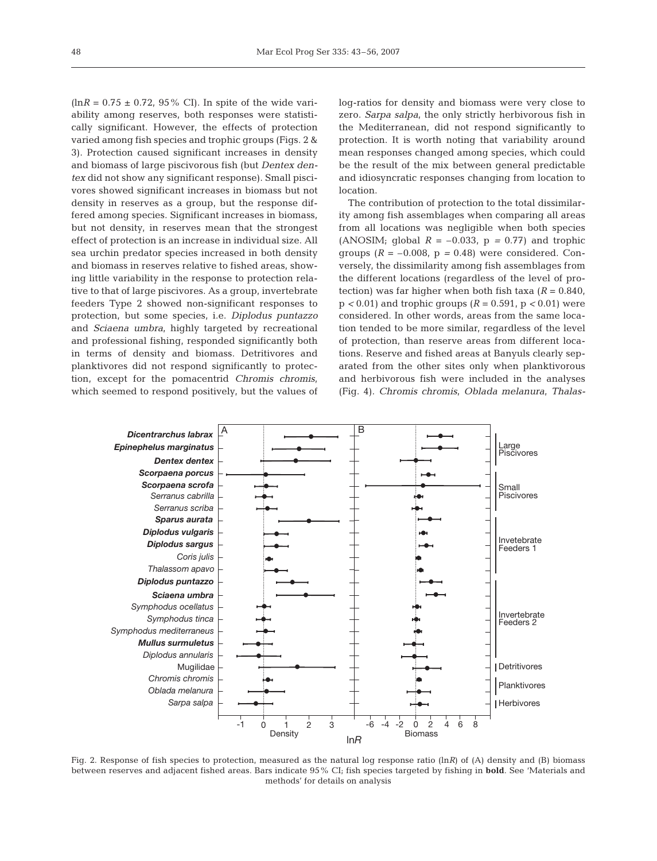$(lnR = 0.75 \pm 0.72, 95\% \text{ CI})$ . In spite of the wide variability among reserves, both responses were statistically significant. However, the effects of protection varied among fish species and trophic groups (Figs. 2 & 3). Protection caused significant increases in density and biomass of large piscivorous fish (but *Dentex dentex* did not show any significant response). Small piscivores showed significant increases in biomass but not density in reserves as a group, but the response differed among species. Significant increases in biomass, but not density, in reserves mean that the strongest effect of protection is an increase in individual size. All sea urchin predator species increased in both density and biomass in reserves relative to fished areas, showing little variability in the response to protection relative to that of large piscivores. As a group, invertebrate feeders Type 2 showed non-significant responses to protection, but some species, i.e. *Diplodus puntazzo* and *Sciaena umbra*, highly targeted by recreational and professional fishing, responded significantly both in terms of density and biomass. Detritivores and planktivores did not respond significantly to protection, except for the pomacentrid *Chromis chromis*, which seemed to respond positively, but the values of

log-ratios for density and biomass were very close to zero. *Sarpa salpa*, the only strictly herbivorous fish in the Mediterranean, did not respond significantly to protection. It is worth noting that variability around mean responses changed among species, which could be the result of the mix between general predictable and idiosyncratic responses changing from location to location.

The contribution of protection to the total dissimilarity among fish assemblages when comparing all areas from all locations was negligible when both species (ANOSIM; global  $R = -0.033$ ,  $p = 0.77$ ) and trophic groups  $(R = -0.008, p = 0.48)$  were considered. Conversely, the dissimilarity among fish assemblages from the different locations (regardless of the level of protection) was far higher when both fish taxa  $(R = 0.840, R)$ p *<* 0.01) and trophic groups (*R* = 0.591, p *<* 0.01) were considered. In other words, areas from the same location tended to be more similar, regardless of the level of protection, than reserve areas from different locations. Reserve and fished areas at Banyuls clearly separated from the other sites only when planktivorous and herbivorous fish were included in the analyses (Fig. 4). *Chromis chromis*, *Oblada melanura*, *Thalas-*



Fig. 2. Response of fish species to protection, measured as the natural log response ratio (ln*R*) of (A) density and (B) biomass between reserves and adjacent fished areas. Bars indicate 95% CI; fish species targeted by fishing in **bold**. See 'Materials and methods' for details on analysis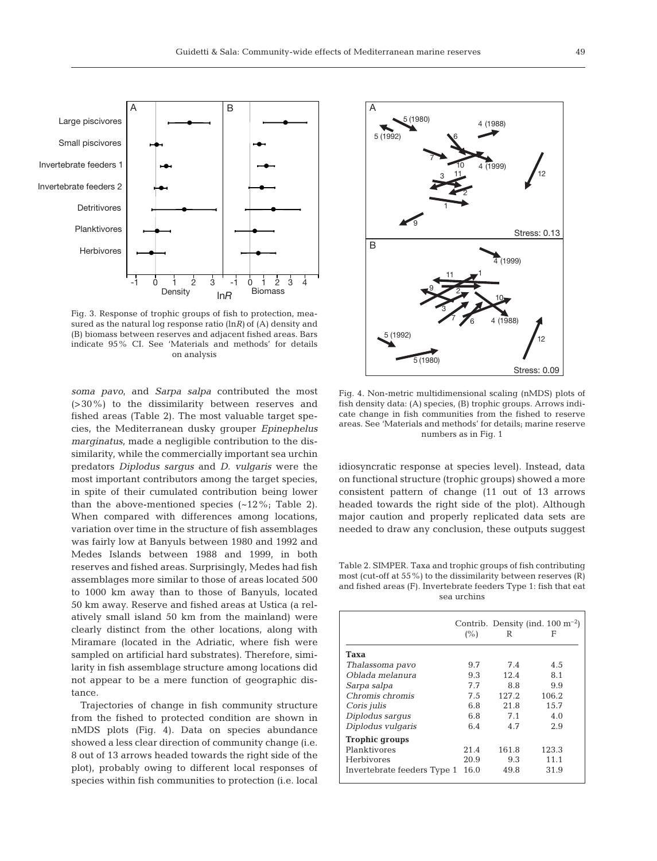

Fig. 3. Response of trophic groups of fish to protection, measured as the natural log response ratio (ln*R)* of (A) density and (B) biomass between reserves and adjacent fished areas. Bars indicate 95% CI. See 'Materials and methods' for details on analysis

*soma pavo*, and *Sarpa salpa* contributed the most (>30%) to the dissimilarity between reserves and fished areas (Table 2). The most valuable target species, the Mediterranean dusky grouper *Epinephelus marginatus*, made a negligible contribution to the dissimilarity, while the commercially important sea urchin predators *Diplodus sargus* and *D. vulgaris* were the most important contributors among the target species, in spite of their cumulated contribution being lower than the above-mentioned species  $(-12\%;$  Table 2). When compared with differences among locations, variation over time in the structure of fish assemblages was fairly low at Banyuls between 1980 and 1992 and Medes Islands between 1988 and 1999, in both reserves and fished areas. Surprisingly, Medes had fish assemblages more similar to those of areas located 500 to 1000 km away than to those of Banyuls, located 50 km away. Reserve and fished areas at Ustica (a relatively small island 50 km from the mainland) were clearly distinct from the other locations, along with Miramare (located in the Adriatic, where fish were sampled on artificial hard substrates). Therefore, similarity in fish assemblage structure among locations did not appear to be a mere function of geographic distance.

Trajectories of change in fish community structure from the fished to protected condition are shown in nMDS plots (Fig. 4). Data on species abundance showed a less clear direction of community change (i.e. 8 out of 13 arrows headed towards the right side of the plot), probably owing to different local responses of species within fish communities to protection (i.e. local



Fig. 4. Non-metric multidimensional scaling (nMDS) plots of fish density data: (A) species, (B) trophic groups. Arrows indicate change in fish communities from the fished to reserve areas. See 'Materials and methods' for details; marine reserve numbers as in Fig. 1

idiosyncratic response at species level). Instead, data on functional structure (trophic groups) showed a more consistent pattern of change (11 out of 13 arrows headed towards the right side of the plot). Although major caution and properly replicated data sets are needed to draw any conclusion, these outputs suggest

Table 2. SIMPER. Taxa and trophic groups of fish contributing most (cut-off at 55%) to the dissimilarity between reserves (R) and fished areas (F). Invertebrate feeders Type 1: fish that eat sea urchins

|                             | (%)  | R     | Contrib. Density (ind. $100 \text{ m}^{-2}$ )<br>F |
|-----------------------------|------|-------|----------------------------------------------------|
| Taxa                        |      |       |                                                    |
| Thalassoma pavo             | 9.7  | 7.4   | 4.5                                                |
| Ohlada melanura             | 9.3  | 12.4  | 8.1                                                |
| Sarpa salpa                 | 7.7  | 8.8   | 9.9                                                |
| Chromis chromis             | 7.5  | 127.2 | 106.2                                              |
| Coris <i>julis</i>          | 6.8  | 21.8  | 15.7                                               |
| Diplodus sargus             | 6.8  | 7.1   | 4.0                                                |
| Diplodus vulgaris           | 6.4  | 4.7   | 2.9                                                |
| <b>Trophic groups</b>       |      |       |                                                    |
| Planktivores                | 21.4 | 161.8 | 123.3                                              |
| <b>Herbivores</b>           | 20.9 | 9.3   | 11.1                                               |
| Invertebrate feeders Type 1 | 16.0 | 49.8  | 31.9                                               |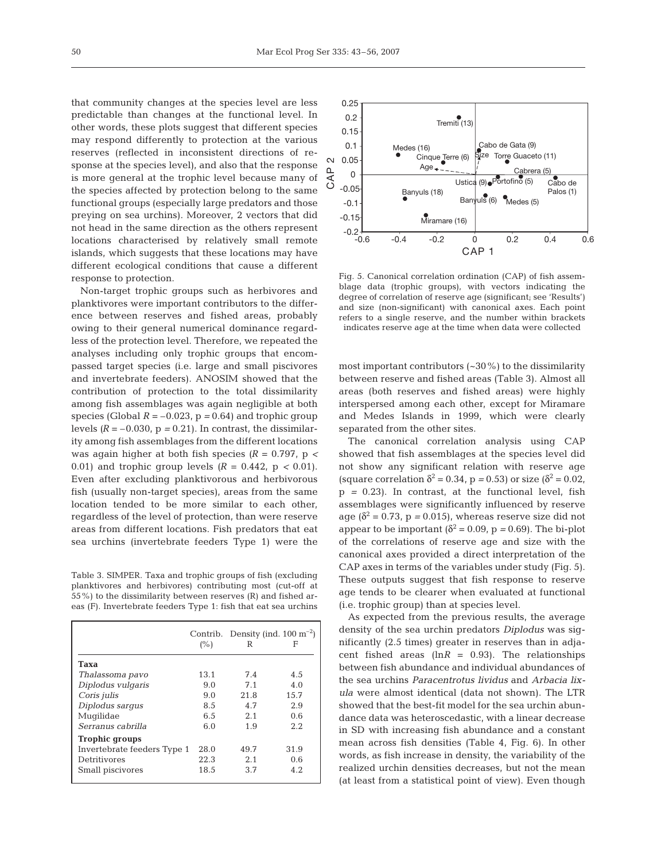that community changes at the species level are less predictable than changes at the functional level. In other words, these plots suggest that different species may respond differently to protection at the various reserves (reflected in inconsistent directions of response at the species level), and also that the response is more general at the trophic level because many of the species affected by protection belong to the same functional groups (especially large predators and those preying on sea urchins). Moreover, 2 vectors that did not head in the same direction as the others represent locations characterised by relatively small remote islands, which suggests that these locations may have different ecological conditions that cause a different response to protection.

Non-target trophic groups such as herbivores and planktivores were important contributors to the difference between reserves and fished areas, probably owing to their general numerical dominance regardless of the protection level. Therefore, we repeated the analyses including only trophic groups that encompassed target species (i.e. large and small piscivores and invertebrate feeders). ANOSIM showed that the contribution of protection to the total dissimilarity among fish assemblages was again negligible at both species (Global  $R = -0.023$ ,  $p = 0.64$ ) and trophic group levels  $(R = -0.030, p = 0.21)$ . In contrast, the dissimilarity among fish assemblages from the different locations was again higher at both fish species *(R* = 0.797, p *<* 0.01) and trophic group levels *(R* = 0.442, p *<* 0.01). Even after excluding planktivorous and herbivorous fish (usually non-target species), areas from the same location tended to be more similar to each other, regardless of the level of protection, than were reserve areas from different locations. Fish predators that eat sea urchins (invertebrate feeders Type 1) were the

Table 3. SIMPER. Taxa and trophic groups of fish (excluding planktivores and herbivores) contributing most (cut-off at 55%) to the dissimilarity between reserves (R) and fished areas (F). Invertebrate feeders Type 1: fish that eat sea urchins

|                             | (%)  | R    | Contrib. Density (ind. $100 \text{ m}^{-2}$ )<br>F |
|-----------------------------|------|------|----------------------------------------------------|
| Taxa                        |      |      |                                                    |
| Thalassoma pavo             | 13.1 | 7.4  | 4.5                                                |
| Diplodus vulgaris           | 9.0  | 7.1  | 4.0                                                |
| Coris <i>julis</i>          | 9.0  | 21.8 | 15.7                                               |
| Diplodus sargus             | 8.5  | 4.7  | 2.9                                                |
| Mugilidae                   | 6.5  | 2.1  | 0.6                                                |
| Serranus cabrilla           | 6.0  | 1.9  | 2.2.                                               |
| <b>Trophic groups</b>       |      |      |                                                    |
| Invertebrate feeders Type 1 | 28.0 | 49.7 | 31.9                                               |
| Detritivores                | 22.3 | 2.1  | 0.6                                                |
| Small piscivores            | 18.5 | 3.7  | 4.2.                                               |



Fig. 5. Canonical correlation ordination (CAP) of fish assemblage data (trophic groups), with vectors indicating the degree of correlation of reserve age (significant; see 'Results') and size (non-significant) with canonical axes. Each point refers to a single reserve, and the number within brackets indicates reserve age at the time when data were collected

most important contributors  $(-30\%)$  to the dissimilarity between reserve and fished areas (Table 3). Almost all areas (both reserves and fished areas) were highly interspersed among each other, except for Miramare and Medes Islands in 1999, which were clearly separated from the other sites.

The canonical correlation analysis using CAP showed that fish assemblages at the species level did not show any significant relation with reserve age (square correlation  $\delta^2 = 0.34$ , p = 0.53) or size ( $\delta^2 = 0.02$ , p *=* 0.23). In contrast, at the functional level, fish assemblages were significantly influenced by reserve age  $(\delta^2 = 0.73, p = 0.015)$ , whereas reserve size did not appear to be important  $\delta^2 = 0.09$ ,  $p = 0.69$ ). The bi-plot of the correlations of reserve age and size with the canonical axes provided a direct interpretation of the CAP axes in terms of the variables under study (Fig. 5). These outputs suggest that fish response to reserve age tends to be clearer when evaluated at functional (i.e. trophic group) than at species level.

As expected from the previous results, the average density of the sea urchin predators *Diplodus* was significantly (2.5 times) greater in reserves than in adjacent fished areas  $(lnR = 0.93)$ . The relationships between fish abundance and individual abundances of the sea urchins *Paracentrotus lividus* and *Arbacia lixula* were almost identical (data not shown). The LTR showed that the best-fit model for the sea urchin abundance data was heteroscedastic, with a linear decrease in SD with increasing fish abundance and a constant mean across fish densities (Table 4, Fig. 6). In other words, as fish increase in density, the variability of the realized urchin densities decreases, but not the mean (at least from a statistical point of view). Even though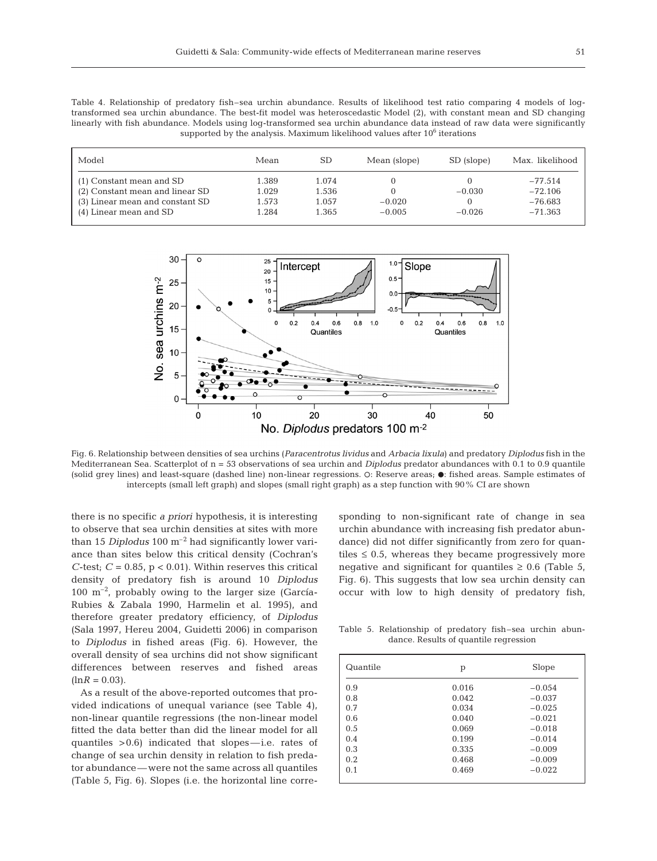Table 4. Relationship of predatory fish–sea urchin abundance. Results of likelihood test ratio comparing 4 models of logtransformed sea urchin abundance. The best-fit model was heteroscedastic Model (2), with constant mean and SD changing linearly with fish abundance. Models using log-transformed sea urchin abundance data instead of raw data were significantly supported by the analysis. Maximum likelihood values after 10<sup>6</sup> iterations

| Model                                                       | Mean           | SD             | Mean (slope)         | SD (slope) | Max. likelihood        |
|-------------------------------------------------------------|----------------|----------------|----------------------|------------|------------------------|
| (1) Constant mean and SD<br>(2) Constant mean and linear SD | 1.389<br>1.029 | 1.074<br>1.536 |                      | $-0.030$   | $-77.514$<br>$-72.106$ |
| (3) Linear mean and constant SD<br>(4) Linear mean and SD   | 1.573<br>1.284 | 1.057<br>1.365 | $-0.020$<br>$-0.005$ | $-0.026$   | $-76.683$<br>$-71.363$ |



Fig. 6. Relationship between densities of sea urchins (*Paracentrotus lividus* and *Arbacia lixula*) and predatory *Diplodus* fish in the Mediterranean Sea. Scatterplot of n = 53 observations of sea urchin and *Diplodus* predator abundances with 0.1 to 0.9 quantile (solid grey lines) and least-square (dashed line) non-linear regressions.  $\circ$ : Reserve areas;  $\bullet$ : fished areas. Sample estimates of intercepts (small left graph) and slopes (small right graph) as a step function with 90% CI are shown

there is no specific *a priori* hypothesis, it is interesting to observe that sea urchin densities at sites with more than 15 *Diplodus* 100 m–2 had significantly lower variance than sites below this critical density (Cochran's *C*-test;  $C = 0.85$ ,  $p < 0.01$ ). Within reserves this critical density of predatory fish is around 10 *Diplodus*  $100 \text{ m}^{-2}$ , probably owing to the larger size (García-Rubies & Zabala 1990, Harmelin et al. 1995), and therefore greater predatory efficiency, of *Diplodus* (Sala 1997, Hereu 2004, Guidetti 2006) in comparison to *Diplodus* in fished areas (Fig. 6). However, the overall density of sea urchins did not show significant differences between reserves and fished areas  $(lnR = 0.03)$ .

As a result of the above-reported outcomes that provided indications of unequal variance (see Table 4), non-linear quantile regressions (the non-linear model fitted the data better than did the linear model for all quantiles >0.6) indicated that slopes—i.e. rates of change of sea urchin density in relation to fish predator abundance—were not the same across all quantiles (Table 5, Fig. 6). Slopes (i.e. the horizontal line corresponding to non-significant rate of change in sea urchin abundance with increasing fish predator abundance) did not differ significantly from zero for quantiles  $\leq 0.5$ , whereas they became progressively more negative and significant for quantiles  $\geq 0.6$  (Table 5, Fig. 6). This suggests that low sea urchin density can occur with low to high density of predatory fish,

Table 5. Relationship of predatory fish–sea urchin abundance. Results of quantile regression

| Quantile | р     | Slope    |
|----------|-------|----------|
| 0.9      | 0.016 | $-0.054$ |
| 0.8      | 0.042 | $-0.037$ |
| 0.7      | 0.034 | $-0.025$ |
| 0.6      | 0.040 | $-0.021$ |
| 0.5      | 0.069 | $-0.018$ |
| 0.4      | 0.199 | $-0.014$ |
| 0.3      | 0.335 | $-0.009$ |
| 0.2      | 0.468 | $-0.009$ |
| 0.1      | 0.469 | $-0.022$ |
|          |       |          |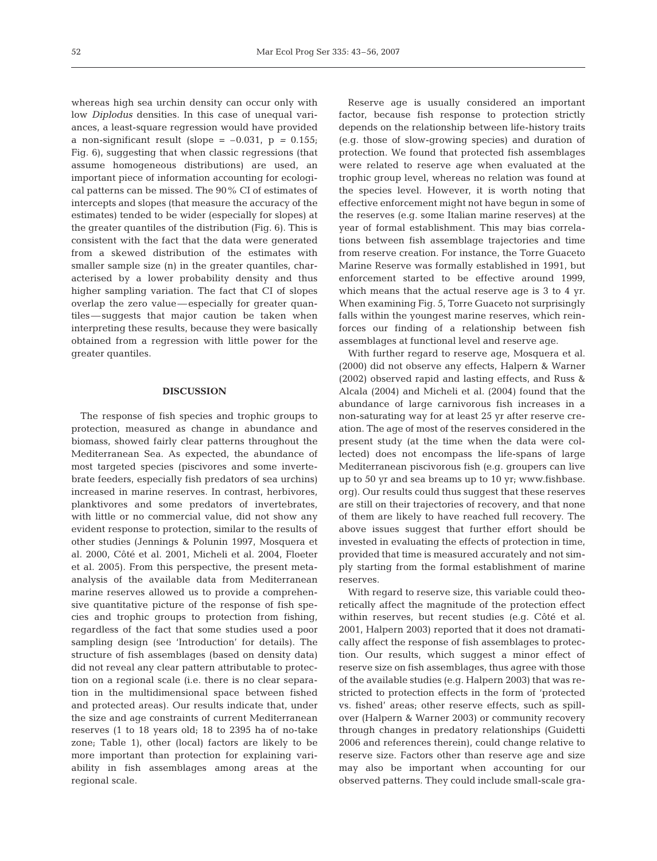whereas high sea urchin density can occur only with low *Diplodus* densities. In this case of unequal variances, a least-square regression would have provided a non-significant result (slope  $= -0.031$ ,  $p = 0.155$ ; Fig. 6), suggesting that when classic regressions (that assume homogeneous distributions) are used, an important piece of information accounting for ecological patterns can be missed. The 90% CI of estimates of intercepts and slopes (that measure the accuracy of the estimates) tended to be wider (especially for slopes) at the greater quantiles of the distribution (Fig. 6). This is consistent with the fact that the data were generated from a skewed distribution of the estimates with smaller sample size (n) in the greater quantiles, characterised by a lower probability density and thus higher sampling variation. The fact that CI of slopes overlap the zero value—especially for greater quantiles—suggests that major caution be taken when interpreting these results, because they were basically obtained from a regression with little power for the greater quantiles.

### **DISCUSSION**

The response of fish species and trophic groups to protection, measured as change in abundance and biomass, showed fairly clear patterns throughout the Mediterranean Sea. As expected, the abundance of most targeted species (piscivores and some invertebrate feeders, especially fish predators of sea urchins) increased in marine reserves. In contrast, herbivores, planktivores and some predators of invertebrates, with little or no commercial value, did not show any evident response to protection, similar to the results of other studies (Jennings & Polunin 1997, Mosquera et al. 2000, Côté et al. 2001, Micheli et al. 2004, Floeter et al. 2005). From this perspective, the present metaanalysis of the available data from Mediterranean marine reserves allowed us to provide a comprehensive quantitative picture of the response of fish species and trophic groups to protection from fishing, regardless of the fact that some studies used a poor sampling design (see 'Introduction' for details). The structure of fish assemblages (based on density data) did not reveal any clear pattern attributable to protection on a regional scale (i.e. there is no clear separation in the multidimensional space between fished and protected areas). Our results indicate that, under the size and age constraints of current Mediterranean reserves (1 to 18 years old; 18 to 2395 ha of no-take zone; Table 1), other (local) factors are likely to be more important than protection for explaining variability in fish assemblages among areas at the regional scale.

Reserve age is usually considered an important factor, because fish response to protection strictly depends on the relationship between life-history traits (e.g. those of slow-growing species) and duration of protection. We found that protected fish assemblages were related to reserve age when evaluated at the trophic group level, whereas no relation was found at the species level. However, it is worth noting that effective enforcement might not have begun in some of the reserves (e.g. some Italian marine reserves) at the year of formal establishment. This may bias correlations between fish assemblage trajectories and time from reserve creation. For instance, the Torre Guaceto Marine Reserve was formally established in 1991, but enforcement started to be effective around 1999, which means that the actual reserve age is 3 to 4 yr. When examining Fig. 5, Torre Guaceto not surprisingly falls within the youngest marine reserves, which reinforces our finding of a relationship between fish assemblages at functional level and reserve age.

With further regard to reserve age, Mosquera et al. (2000) did not observe any effects, Halpern & Warner (2002) observed rapid and lasting effects, and Russ & Alcala (2004) and Micheli et al. (2004) found that the abundance of large carnivorous fish increases in a non-saturating way for at least 25 yr after reserve creation. The age of most of the reserves considered in the present study (at the time when the data were collected) does not encompass the life-spans of large Mediterranean piscivorous fish (e.g. groupers can live up to 50 yr and sea breams up to 10 yr; www.fishbase. org). Our results could thus suggest that these reserves are still on their trajectories of recovery, and that none of them are likely to have reached full recovery. The above issues suggest that further effort should be invested in evaluating the effects of protection in time, provided that time is measured accurately and not simply starting from the formal establishment of marine reserves.

With regard to reserve size, this variable could theoretically affect the magnitude of the protection effect within reserves, but recent studies (e.g. Côté et al. 2001, Halpern 2003) reported that it does not dramatically affect the response of fish assemblages to protection. Our results, which suggest a minor effect of reserve size on fish assemblages, thus agree with those of the available studies (e.g. Halpern 2003) that was restricted to protection effects in the form of 'protected vs. fished' areas; other reserve effects, such as spillover (Halpern & Warner 2003) or community recovery through changes in predatory relationships (Guidetti 2006 and references therein), could change relative to reserve size. Factors other than reserve age and size may also be important when accounting for our observed patterns. They could include small-scale gra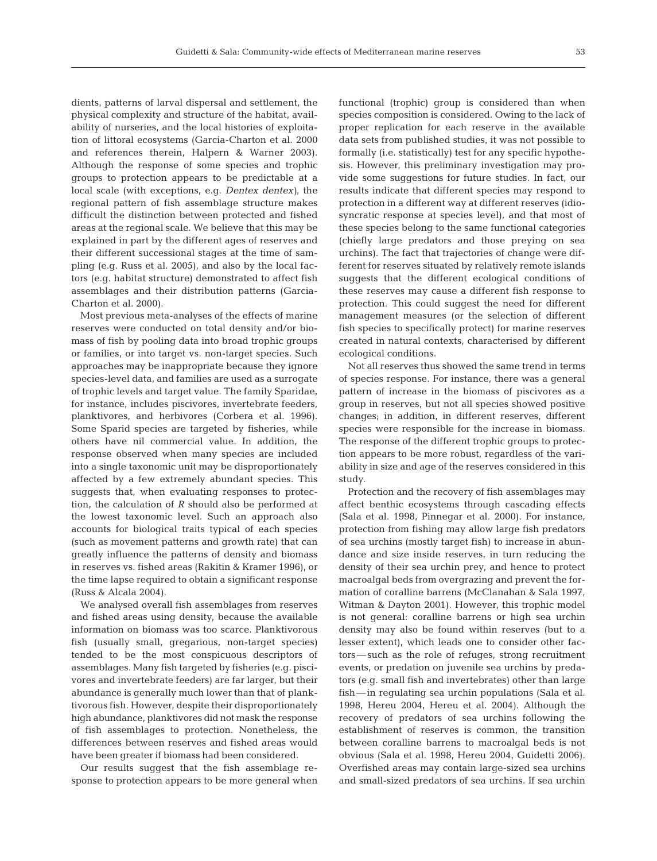dients, patterns of larval dispersal and settlement, the physical complexity and structure of the habitat, availability of nurseries, and the local histories of exploitation of littoral ecosystems (Garcia-Charton et al. 2000 and references therein, Halpern & Warner 2003). Although the response of some species and trophic groups to protection appears to be predictable at a local scale (with exceptions, e.g. *Dentex dentex)*, the regional pattern of fish assemblage structure makes difficult the distinction between protected and fished areas at the regional scale. We believe that this may be explained in part by the different ages of reserves and their different successional stages at the time of sampling (e.g. Russ et al. 2005), and also by the local factors (e.g. habitat structure) demonstrated to affect fish assemblages and their distribution patterns (Garcia-Charton et al. 2000).

Most previous meta-analyses of the effects of marine reserves were conducted on total density and/or biomass of fish by pooling data into broad trophic groups or families, or into target vs. non-target species. Such approaches may be inappropriate because they ignore species-level data, and families are used as a surrogate of trophic levels and target value. The family Sparidae, for instance, includes piscivores, invertebrate feeders, planktivores, and herbivores (Corbera et al. 1996). Some Sparid species are targeted by fisheries, while others have nil commercial value. In addition, the response observed when many species are included into a single taxonomic unit may be disproportionately affected by a few extremely abundant species. This suggests that, when evaluating responses to protection, the calculation of *R* should also be performed at the lowest taxonomic level. Such an approach also accounts for biological traits typical of each species (such as movement patterns and growth rate) that can greatly influence the patterns of density and biomass in reserves vs. fished areas (Rakitin & Kramer 1996), or the time lapse required to obtain a significant response (Russ & Alcala 2004).

We analysed overall fish assemblages from reserves and fished areas using density, because the available information on biomass was too scarce. Planktivorous fish (usually small, gregarious, non-target species) tended to be the most conspicuous descriptors of assemblages. Many fish targeted by fisheries (e.g. piscivores and invertebrate feeders) are far larger, but their abundance is generally much lower than that of planktivorous fish. However, despite their disproportionately high abundance, planktivores did not mask the response of fish assemblages to protection. Nonetheless, the differences between reserves and fished areas would have been greater if biomass had been considered.

Our results suggest that the fish assemblage response to protection appears to be more general when functional (trophic) group is considered than when species composition is considered. Owing to the lack of proper replication for each reserve in the available data sets from published studies, it was not possible to formally (i.e. statistically) test for any specific hypothesis. However, this preliminary investigation may provide some suggestions for future studies. In fact, our results indicate that different species may respond to protection in a different way at different reserves (idiosyncratic response at species level), and that most of these species belong to the same functional categories (chiefly large predators and those preying on sea urchins). The fact that trajectories of change were different for reserves situated by relatively remote islands suggests that the different ecological conditions of these reserves may cause a different fish response to protection. This could suggest the need for different management measures (or the selection of different fish species to specifically protect) for marine reserves created in natural contexts, characterised by different ecological conditions.

Not all reserves thus showed the same trend in terms of species response. For instance, there was a general pattern of increase in the biomass of piscivores as a group in reserves, but not all species showed positive changes; in addition, in different reserves, different species were responsible for the increase in biomass. The response of the different trophic groups to protection appears to be more robust, regardless of the variability in size and age of the reserves considered in this study.

Protection and the recovery of fish assemblages may affect benthic ecosystems through cascading effects (Sala et al. 1998, Pinnegar et al. 2000). For instance, protection from fishing may allow large fish predators of sea urchins (mostly target fish) to increase in abundance and size inside reserves, in turn reducing the density of their sea urchin prey, and hence to protect macroalgal beds from overgrazing and prevent the formation of coralline barrens (McClanahan & Sala 1997, Witman & Dayton 2001). However, this trophic model is not general: coralline barrens or high sea urchin density may also be found within reserves (but to a lesser extent), which leads one to consider other factors—such as the role of refuges, strong recruitment events, or predation on juvenile sea urchins by predators (e.g. small fish and invertebrates) other than large fish—in regulating sea urchin populations (Sala et al. 1998, Hereu 2004, Hereu et al. 2004). Although the recovery of predators of sea urchins following the establishment of reserves is common, the transition between coralline barrens to macroalgal beds is not obvious (Sala et al. 1998, Hereu 2004, Guidetti 2006). Overfished areas may contain large-sized sea urchins and small-sized predators of sea urchins. If sea urchin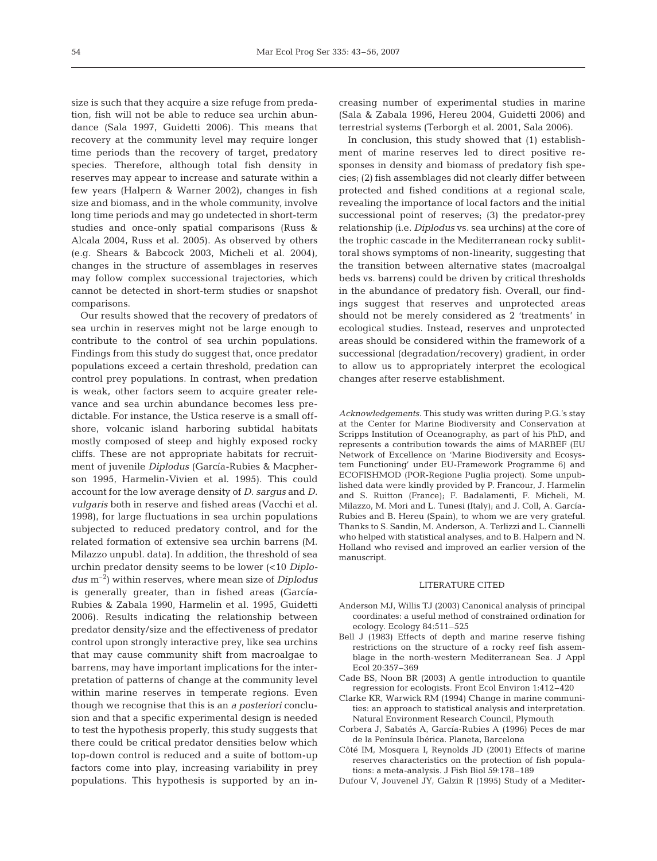size is such that they acquire a size refuge from predation, fish will not be able to reduce sea urchin abundance (Sala 1997, Guidetti 2006). This means that recovery at the community level may require longer time periods than the recovery of target, predatory species. Therefore, although total fish density in reserves may appear to increase and saturate within a few years (Halpern & Warner 2002), changes in fish size and biomass, and in the whole community, involve long time periods and may go undetected in short-term studies and once-only spatial comparisons (Russ & Alcala 2004, Russ et al. 2005). As observed by others (e.g. Shears & Babcock 2003, Micheli et al. 2004), changes in the structure of assemblages in reserves may follow complex successional trajectories, which cannot be detected in short-term studies or snapshot comparisons.

Our results showed that the recovery of predators of sea urchin in reserves might not be large enough to contribute to the control of sea urchin populations. Findings from this study do suggest that, once predator populations exceed a certain threshold, predation can control prey populations. In contrast, when predation is weak, other factors seem to acquire greater relevance and sea urchin abundance becomes less predictable. For instance, the Ustica reserve is a small offshore, volcanic island harboring subtidal habitats mostly composed of steep and highly exposed rocky cliffs. These are not appropriate habitats for recruitment of juvenile *Diplodus* (García-Rubies & Macpherson 1995, Harmelin-Vivien et al. 1995). This could account for the low average density of *D. sargus* and *D. vulgaris* both in reserve and fished areas (Vacchi et al. 1998), for large fluctuations in sea urchin populations subjected to reduced predatory control, and for the related formation of extensive sea urchin barrens (M. Milazzo unpubl. data). In addition, the threshold of sea urchin predator density seems to be lower (<10 *Diplodus* m–2) within reserves, where mean size of *Diplodus* is generally greater, than in fished areas (García-Rubies & Zabala 1990, Harmelin et al. 1995, Guidetti 2006). Results indicating the relationship between predator density/size and the effectiveness of predator control upon strongly interactive prey, like sea urchins that may cause community shift from macroalgae to barrens, may have important implications for the interpretation of patterns of change at the community level within marine reserves in temperate regions. Even though we recognise that this is an *a posteriori* conclusion and that a specific experimental design is needed to test the hypothesis properly, this study suggests that there could be critical predator densities below which top-down control is reduced and a suite of bottom-up factors come into play, increasing variability in prey populations. This hypothesis is supported by an increasing number of experimental studies in marine (Sala & Zabala 1996, Hereu 2004, Guidetti 2006) and terrestrial systems (Terborgh et al. 2001, Sala 2006).

In conclusion, this study showed that (1) establishment of marine reserves led to direct positive responses in density and biomass of predatory fish species; (2) fish assemblages did not clearly differ between protected and fished conditions at a regional scale, revealing the importance of local factors and the initial successional point of reserves; (3) the predator-prey relationship (i.e. *Diplodus* vs. sea urchins) at the core of the trophic cascade in the Mediterranean rocky sublittoral shows symptoms of non-linearity, suggesting that the transition between alternative states (macroalgal beds vs. barrens) could be driven by critical thresholds in the abundance of predatory fish. Overall, our findings suggest that reserves and unprotected areas should not be merely considered as 2 'treatments' in ecological studies. Instead, reserves and unprotected areas should be considered within the framework of a successional (degradation/recovery) gradient, in order to allow us to appropriately interpret the ecological changes after reserve establishment.

*Acknowledgements.* This study was written during P.G.'s stay at the Center for Marine Biodiversity and Conservation at Scripps Institution of Oceanography, as part of his PhD, and represents a contribution towards the aims of MARBEF (EU Network of Excellence on 'Marine Biodiversity and Ecosystem Functioning' under EU-Framework Programme 6) and ECOFISHMOD (POR-Regione Puglia project). Some unpublished data were kindly provided by P. Francour, J. Harmelin and S. Ruitton (France); F. Badalamenti, F. Micheli, M. Milazzo, M. Mori and L. Tunesi (Italy); and J. Coll, A. García-Rubies and B. Hereu (Spain), to whom we are very grateful. Thanks to S. Sandin, M. Anderson, A. Terlizzi and L. Ciannelli who helped with statistical analyses, and to B. Halpern and N. Holland who revised and improved an earlier version of the manuscript.

### LITERATURE CITED

- Anderson MJ, Willis TJ (2003) Canonical analysis of principal coordinates: a useful method of constrained ordination for ecology. Ecology 84:511–525
- Bell J (1983) Effects of depth and marine reserve fishing restrictions on the structure of a rocky reef fish assemblage in the north-western Mediterranean Sea. J Appl Ecol 20:357–369
- Cade BS, Noon BR (2003) A gentle introduction to quantile regression for ecologists. Front Ecol Environ 1:412–420
- Clarke KR, Warwick RM (1994) Change in marine communities: an approach to statistical analysis and interpretation. Natural Environment Research Council, Plymouth
- Corbera J, Sabatés A, García-Rubies A (1996) Peces de mar de la Península Ibérica. Planeta, Barcelona
- Côté IM, Mosquera I, Reynolds JD (2001) Effects of marine reserves characteristics on the protection of fish populations: a meta-analysis. J Fish Biol 59:178–189
- Dufour V, Jouvenel JY, Galzin R (1995) Study of a Mediter-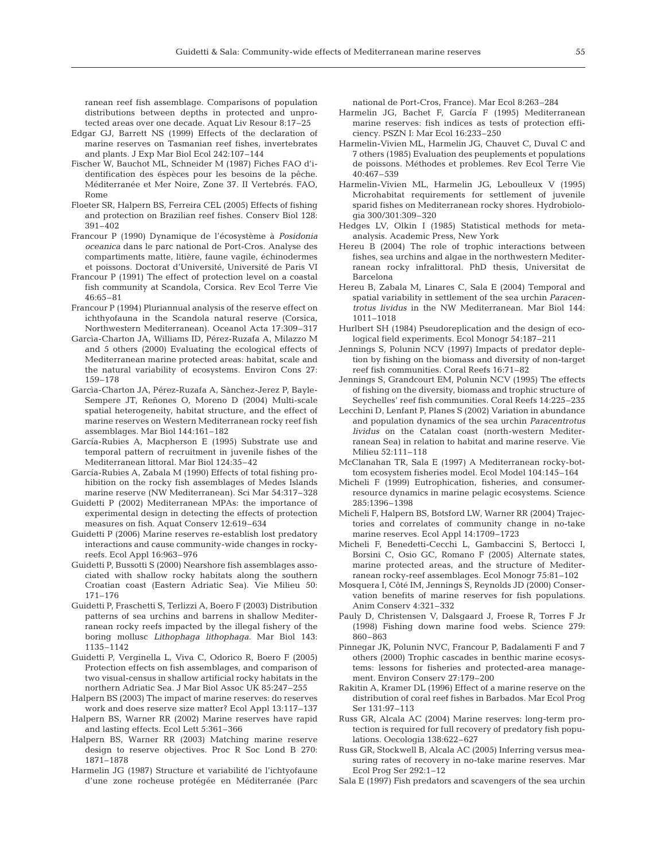ranean reef fish assemblage. Comparisons of population distributions between depths in protected and unprotected areas over one decade. Aquat Liv Resour 8:17–25

- Edgar GJ, Barrett NS (1999) Effects of the declaration of marine reserves on Tasmanian reef fishes, invertebrates and plants. J Exp Mar Biol Ecol 242:107–144
- Fischer W, Bauchot ML, Schneider M (1987) Fiches FAO d'identification des éspèces pour les besoins de la pêche. Méditerranée et Mer Noire, Zone 37. II Vertebrés. FAO, Rome
- Floeter SR, Halpern BS, Ferreira CEL (2005) Effects of fishing and protection on Brazilian reef fishes. Conserv Biol 128: 391–402
- Francour P (1990) Dynamique de l'écosystème à *Posidonia oceanica* dans le parc national de Port-Cros. Analyse des compartiments matte, litière, faune vagile, échinodermes et poissons. Doctorat d'Université, Université de Paris VI
- Francour P (1991) The effect of protection level on a coastal fish community at Scandola, Corsica. Rev Ecol Terre Vie 46:65–81
- Francour P (1994) Pluriannual analysis of the reserve effect on ichthyofauna in the Scandola natural reserve (Corsica, Northwestern Mediterranean). Oceanol Acta 17:309–317
- Garcìa-Charton JA, Williams ID, Pérez-Ruzafa A, Milazzo M and 5 others (2000) Evaluating the ecological effects of Mediterranean marine protected areas: habitat, scale and the natural variability of ecosystems. Environ Cons 27: 159–178
- Garcìa-Charton JA, Pérez-Ruzafa A, Sànchez-Jerez P, Bayle-Sempere JT, Reñones O, Moreno D (2004) Multi-scale spatial heterogeneity, habitat structure, and the effect of marine reserves on Western Mediterranean rocky reef fish assemblages. Mar Biol 144:161–182
- García-Rubies A, Macpherson E (1995) Substrate use and temporal pattern of recruitment in juvenile fishes of the Mediterranean littoral. Mar Biol 124:35–42
- García-Rubies A, Zabala M (1990) Effects of total fishing prohibition on the rocky fish assemblages of Medes Islands marine reserve (NW Mediterranean). Sci Mar 54:317–328
- Guidetti P (2002) Mediterranean MPAs: the importance of experimental design in detecting the effects of protection measures on fish. Aquat Conserv 12:619–634
- Guidetti P (2006) Marine reserves re-establish lost predatory interactions and cause community-wide changes in rockyreefs. Ecol Appl 16:963–976
- Guidetti P, Bussotti S (2000) Nearshore fish assemblages associated with shallow rocky habitats along the southern Croatian coast (Eastern Adriatic Sea). Vie Milieu 50: 171–176
- Guidetti P, Fraschetti S, Terlizzi A, Boero F (2003) Distribution patterns of sea urchins and barrens in shallow Mediterranean rocky reefs impacted by the illegal fishery of the boring mollusc *Lithophaga lithophaga*. Mar Biol 143: 1135–1142
- Guidetti P, Verginella L, Viva C, Odorico R, Boero F (2005) Protection effects on fish assemblages, and comparison of two visual-census in shallow artificial rocky habitats in the northern Adriatic Sea. J Mar Biol Assoc UK 85:247–255
- Halpern BS (2003) The impact of marine reserves: do reserves work and does reserve size matter? Ecol Appl 13:117–137
- Halpern BS, Warner RR (2002) Marine reserves have rapid and lasting effects. Ecol Lett 5:361–366
- Halpern BS, Warner RR (2003) Matching marine reserve design to reserve objectives. Proc R Soc Lond B 270: 1871–1878
- Harmelin JG (1987) Structure et variabilité de l'ichtyofaune d'une zone rocheuse protégée en Méditerranée (Parc

national de Port-Cros, France). Mar Ecol 8:263–284

- Harmelin JG, Bachet F, García F (1995) Mediterranean marine reserves: fish indices as tests of protection efficiency. PSZN I: Mar Ecol 16:233–250
- Harmelin-Vivien ML, Harmelin JG, Chauvet C, Duval C and 7 others (1985) Evaluation des peuplements et populations de poissons. Méthodes et problemes. Rev Ecol Terre Vie 40:467–539
- Harmelin-Vivien ML, Harmelin JG, Leboulleux V (1995) Microhabitat requirements for settlement of juvenile sparid fishes on Mediterranean rocky shores. Hydrobiologia 300/301:309–320
- Hedges LV, Olkin I (1985) Statistical methods for metaanalysis. Academic Press, New York
- Hereu B (2004) The role of trophic interactions between fishes, sea urchins and algae in the northwestern Mediterranean rocky infralittoral. PhD thesis, Universitat de Barcelona
- Hereu B, Zabala M, Linares C, Sala E (2004) Temporal and spatial variability in settlement of the sea urchin *Paracentrotus lividus* in the NW Mediterranean. Mar Biol 144: 1011–1018
- Hurlbert SH (1984) Pseudoreplication and the design of ecological field experiments. Ecol Monogr 54:187–211
- Jennings S, Polunin NCV (1997) Impacts of predator depletion by fishing on the biomass and diversity of non-target reef fish communities. Coral Reefs 16:71–82
- Jennings S, Grandcourt EM, Polunin NCV (1995) The effects of fishing on the diversity, biomass and trophic structure of Seychelles' reef fish communities. Coral Reefs 14:225–235
- Lecchini D, Lenfant P, Planes S (2002) Variation in abundance and population dynamics of the sea urchin *Paracentrotus lividus* on the Catalan coast (north-western Mediterranean Sea) in relation to habitat and marine reserve. Vie Milieu 52:111–118
- McClanahan TR, Sala E (1997) A Mediterranean rocky-bottom ecosystem fisheries model. Ecol Model 104:145–164
- Micheli F (1999) Eutrophication, fisheries, and consumerresource dynamics in marine pelagic ecosystems. Science 285:1396–1398
- Micheli F, Halpern BS, Botsford LW, Warner RR (2004) Trajectories and correlates of community change in no-take marine reserves. Ecol Appl 14:1709–1723
- Micheli F, Benedetti-Cecchi L, Gambaccini S, Bertocci I, Borsini C, Osio GC, Romano F (2005) Alternate states, marine protected areas, and the structure of Mediterranean rocky-reef assemblages. Ecol Monogr 75:81–102
- Mosquera I, Côté IM, Jennings S, Reynolds JD (2000) Conservation benefits of marine reserves for fish populations. Anim Conserv 4:321–332
- Pauly D, Christensen V, Dalsgaard J, Froese R, Torres F Jr (1998) Fishing down marine food webs. Science 279: 860–863
- Pinnegar JK, Polunin NVC, Francour P, Badalamenti F and 7 others (2000) Trophic cascades in benthic marine ecosystems: lessons for fisheries and protected-area management. Environ Conserv 27:179–200
- Rakitin A, Kramer DL (1996) Effect of a marine reserve on the distribution of coral reef fishes in Barbados. Mar Ecol Prog Ser 131:97–113
- Russ GR, Alcala AC (2004) Marine reserves: long-term protection is required for full recovery of predatory fish populations. Oecologia 138:622–627
- Russ GR, Stockwell B, Alcala AC (2005) Inferring versus measuring rates of recovery in no-take marine reserves. Mar Ecol Prog Ser 292:1–12
- Sala E (1997) Fish predators and scavengers of the sea urchin